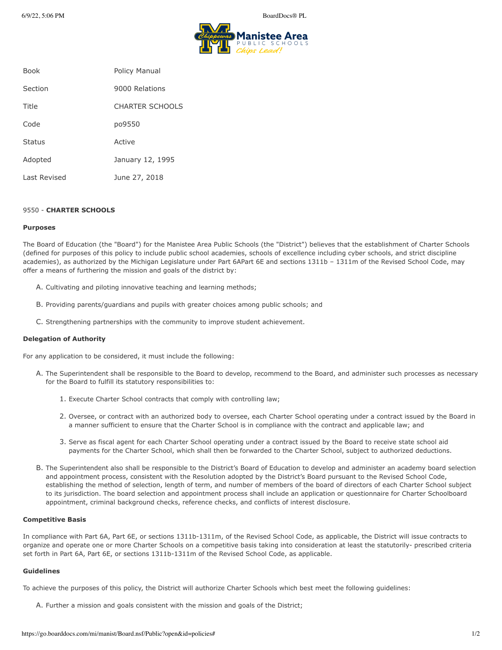6/9/22, 5:06 PM BoardDocs® PL



| <b>Book</b>   | Policy Manual          |
|---------------|------------------------|
| Section       | 9000 Relations         |
| Title         | <b>CHARTER SCHOOLS</b> |
| Code          | po9550                 |
| <b>Status</b> | Active                 |
| Adopted       | January 12, 1995       |
| Last Revised  | June 27, 2018          |

## 9550 - **CHARTER SCHOOLS**

### **Purposes**

The Board of Education (the "Board") for the Manistee Area Public Schools (the "District") believes that the establishment of Charter Schools (defined for purposes of this policy to include public school academies, schools of excellence including cyber schools, and strict discipline academies), as authorized by the Michigan Legislature under Part 6APart 6E and sections 1311b – 1311m of the Revised School Code, may offer a means of furthering the mission and goals of the district by:

- A. Cultivating and piloting innovative teaching and learning methods;
- B. Providing parents/guardians and pupils with greater choices among public schools; and
- C. Strengthening partnerships with the community to improve student achievement.

### **Delegation of Authority**

For any application to be considered, it must include the following:

- A. The Superintendent shall be responsible to the Board to develop, recommend to the Board, and administer such processes as necessary for the Board to fulfill its statutory responsibilities to:
	- 1. Execute Charter School contracts that comply with controlling law;
	- 2. Oversee, or contract with an authorized body to oversee, each Charter School operating under a contract issued by the Board in a manner sufficient to ensure that the Charter School is in compliance with the contract and applicable law; and
	- 3. Serve as fiscal agent for each Charter School operating under a contract issued by the Board to receive state school aid payments for the Charter School, which shall then be forwarded to the Charter School, subject to authorized deductions.
- B. The Superintendent also shall be responsible to the District's Board of Education to develop and administer an academy board selection and appointment process, consistent with the Resolution adopted by the District's Board pursuant to the Revised School Code, establishing the method of selection, length of term, and number of members of the board of directors of each Charter School subject to its jurisdiction. The board selection and appointment process shall include an application or questionnaire for Charter Schoolboard appointment, criminal background checks, reference checks, and conflicts of interest disclosure.

### **Competitive Basis**

In compliance with Part 6A, Part 6E, or sections 1311b-1311m, of the Revised School Code, as applicable, the District will issue contracts to organize and operate one or more Charter Schools on a competitive basis taking into consideration at least the statutorily- prescribed criteria set forth in Part 6A, Part 6E, or sections 1311b-1311m of the Revised School Code, as applicable.

## **Guidelines**

To achieve the purposes of this policy, the District will authorize Charter Schools which best meet the following guidelines:

A. Further a mission and goals consistent with the mission and goals of the District;